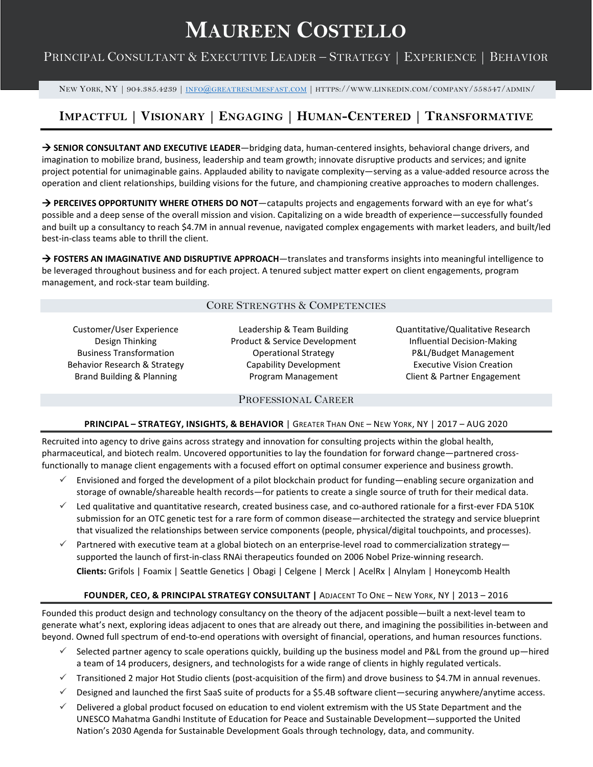# **MAUREEN COSTELLO**

# PRINCIPAL CONSULTANT & EXECUTIVE LEADER – STRATEGY | EXPERIENCE | BEHAVIOR

NEW YORK, NY | 904.385.4239 | [INFO@GREATRESUMESFAST.COM](mailto:info@greatresumesfast.com) | HTTPS://WWW.LINKEDIN.COM/COMPANY/558547/ADMIN/

# **IMPACTFUL | VISIONARY | ENGAGING | HUMAN-CENTERED | TRANSFORMATIVE**

**→ SENIOR CONSULTANT AND EXECUTIVE LEADER**—bridging data, human-centered insights, behavioral change drivers, and imagination to mobilize brand, business, leadership and team growth; innovate disruptive products and services; and ignite project potential for unimaginable gains. Applauded ability to navigate complexity—serving as a value-added resource across the operation and client relationships, building visions for the future, and championing creative approaches to modern challenges.

**→ PERCEIVES OPPORTUNITY WHERE OTHERS DO NOT**—catapults projects and engagements forward with an eye for what's possible and a deep sense of the overall mission and vision. Capitalizing on a wide breadth of experience—successfully founded and built up a consultancy to reach \$4.7M in annual revenue, navigated complex engagements with market leaders, and built/led best-in-class teams able to thrill the client.

 $\rightarrow$  **FOSTERS AN IMAGINATIVE AND DISRUPTIVE APPROACH**—translates and transforms insights into meaningful intelligence to be leveraged throughout business and for each project. A tenured subject matter expert on client engagements, program management, and rock-star team building.

# CORE STRENGTHS & COMPETENCIES

Customer/User Experience Design Thinking Business Transformation Behavior Research & Strategy Brand Building & Planning

Leadership & Team Building Product & Service Development Operational Strategy Capability Development Program Management

Quantitative/Qualitative Research Influential Decision-Making P&L/Budget Management Executive Vision Creation Client & Partner Engagement

#### PROFESSIONAL CAREER

#### **PRINCIPAL – STRATEGY, INSIGHTS, & BEHAVIOR** | GREATER THAN ONE – NEW YORK, NY | 2017 – AUG 2020

Recruited into agency to drive gains across strategy and innovation for consulting projects within the global health, pharmaceutical, and biotech realm. Uncovered opportunities to lay the foundation for forward change—partnered crossfunctionally to manage client engagements with a focused effort on optimal consumer experience and business growth.

- Envisioned and forged the development of a pilot blockchain product for funding—enabling secure organization and storage of ownable/shareable health records—for patients to create a single source of truth for their medical data.
- $\checkmark$  Led qualitative and quantitative research, created business case, and co-authored rationale for a first-ever FDA 510K submission for an OTC genetic test for a rare form of common disease—architected the strategy and service blueprint that visualized the relationships between service components (people, physical/digital touchpoints, and processes).
- $\checkmark$  Partnered with executive team at a global biotech on an enterprise-level road to commercialization strategy supported the launch of first-in-class RNAi therapeutics founded on 2006 Nobel Prize-winning research. **Clients:** Grifols | Foamix | Seattle Genetics | Obagi | Celgene | Merck | AcelRx | Alnylam | Honeycomb Health

# **FOUNDER, CEO, & PRINCIPAL STRATEGY CONSULTANT |** ADJACENT TO ONE – NEW YORK, NY | 2013 – 2016

Founded this product design and technology consultancy on the theory of the adjacent possible—built a next-level team to generate what's next, exploring ideas adjacent to ones that are already out there, and imagining the possibilities in-between and beyond. Owned full spectrum of end-to-end operations with oversight of financial, operations, and human resources functions.

- $\checkmark$  Selected partner agency to scale operations quickly, building up the business model and P&L from the ground up—hired a team of 14 producers, designers, and technologists for a wide range of clients in highly regulated verticals.
- $\checkmark$  Transitioned 2 major Hot Studio clients (post-acquisition of the firm) and drove business to \$4.7M in annual revenues.
- $\checkmark$  Designed and launched the first SaaS suite of products for a \$5.4B software client—securing anywhere/anytime access.
- $\checkmark$  Delivered a global product focused on education to end violent extremism with the US State Department and the UNESCO Mahatma Gandhi Institute of Education for Peace and Sustainable Development—supported the United Nation's 2030 Agenda for Sustainable Development Goals through technology, data, and community.